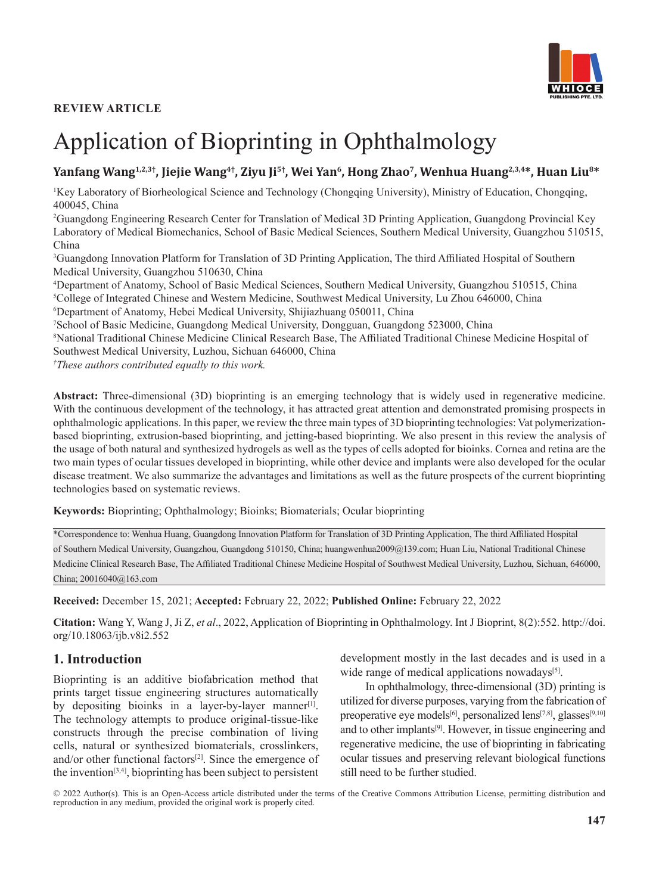## **REVIEW ARTICLE**



# Application of Bioprinting in Ophthalmology

# Yanfang Wang<sup>1,2,3†</sup>, Jiejie Wang<sup>4†</sup>, Ziyu Ji<sup>5†</sup>, Wei Yan<sup>6</sup>, Hong Zhao<sup>7</sup>, Wenhua Huang<sup>2,3,4\*</sup>, Huan Liu<sup>8\*</sup>

1 Key Laboratory of Biorheological Science and Technology (Chongqing University), Ministry of Education, Chongqing, 400045, China

2 Guangdong Engineering Research Center for Translation of Medical 3D Printing Application, Guangdong Provincial Key Laboratory of Medical Biomechanics, School of Basic Medical Sciences, Southern Medical University, Guangzhou 510515, China

3 Guangdong Innovation Platform for Translation of 3D Printing Application, The third Affiliated Hospital of Southern Medical University, Guangzhou 510630, China

4 Department of Anatomy, School of Basic Medical Sciences, Southern Medical University, Guangzhou 510515, China 5 College of Integrated Chinese and Western Medicine, Southwest Medical University, Lu Zhou 646000, China 6 Department of Anatomy, Hebei Medical University, Shijiazhuang 050011, China

7 School of Basic Medicine, Guangdong Medical University, Dongguan, Guangdong 523000, China

8 National Traditional Chinese Medicine Clinical Research Base, The Affiliated Traditional Chinese Medicine Hospital of Southwest Medical University, Luzhou, Sichuan 646000, China

*† These authors contributed equally to this work.*

**Abstract:** Three-dimensional (3D) bioprinting is an emerging technology that is widely used in regenerative medicine. With the continuous development of the technology, it has attracted great attention and demonstrated promising prospects in ophthalmologic applications. In this paper, we review the three main types of 3D bioprinting technologies: Vat polymerizationbased bioprinting, extrusion-based bioprinting, and jetting-based bioprinting. We also present in this review the analysis of the usage of both natural and synthesized hydrogels as well as the types of cells adopted for bioinks. Cornea and retina are the two main types of ocular tissues developed in bioprinting, while other device and implants were also developed for the ocular disease treatment. We also summarize the advantages and limitations as well as the future prospects of the current bioprinting technologies based on systematic reviews.

**Keywords:** Bioprinting; Ophthalmology; Bioinks; Biomaterials; Ocular bioprinting

\*Correspondence to: Wenhua Huang, Guangdong Innovation Platform for Translation of 3D Printing Application, The third Affiliated Hospital of Southern Medical University, Guangzhou, Guangdong 510150, China; huangwenhua2009@139.com; Huan Liu, National Traditional Chinese Medicine Clinical Research Base, The Affiliated Traditional Chinese Medicine Hospital of Southwest Medical University, Luzhou, Sichuan, 646000, China; 20016040@163.com

**Received:** December 15, 2021; **Accepted:** February 22, 2022; **Published Online:** February 22, 2022

**Citation:** Wang Y, Wang J, Ji Z, *et al*., 2022, Application of Bioprinting in Ophthalmology. Int J Bioprint, 8(2):552. http://doi. org/10.18063/ijb.v8i2.552

## **1. Introduction**

Bioprinting is an additive biofabrication method that prints target tissue engineering structures automatically by depositing bioinks in a layer-by-layer manner<sup>[1]</sup>. The technology attempts to produce original-tissue-like constructs through the precise combination of living cells, natural or synthesized biomaterials, crosslinkers, and/or other functional factors $[2]$ . Since the emergence of the invention<sup>[3,4]</sup>, bioprinting has been subject to persistent

development mostly in the last decades and is used in a wide range of medical applications nowadays<sup>[5]</sup>.

In ophthalmology, three-dimensional (3D) printing is utilized for diverse purposes, varying from the fabrication of preoperative eye models<sup>[6]</sup>, personalized lens<sup>[7,8]</sup>, glasses<sup>[9,10]</sup> and to other implants[9]. However, in tissue engineering and regenerative medicine, the use of bioprinting in fabricating ocular tissues and preserving relevant biological functions still need to be further studied.

© 2022 Author(s). This is an Open-Access article distributed under the terms of the [Creative Commons Attribution License](https://creativecommons.org/licenses/by/4.0/), permitting distribution and reproduction in any medium, provided the original work is properly cited.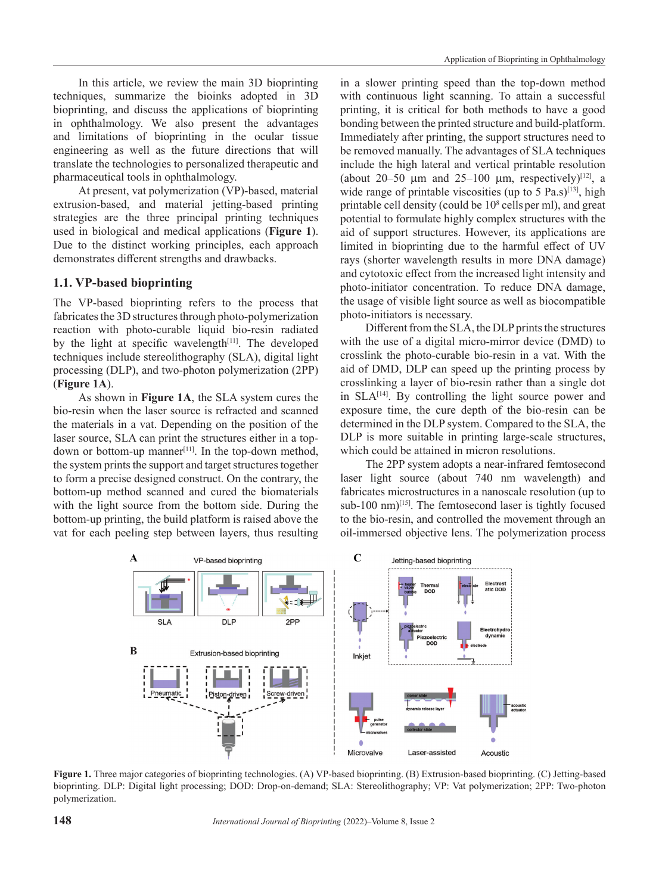In this article, we review the main 3D bioprinting techniques, summarize the bioinks adopted in 3D bioprinting, and discuss the applications of bioprinting in ophthalmology. We also present the advantages and limitations of bioprinting in the ocular tissue engineering as well as the future directions that will translate the technologies to personalized therapeutic and pharmaceutical tools in ophthalmology.

At present, vat polymerization (VP)-based, material extrusion-based, and material jetting-based printing strategies are the three principal printing techniques used in biological and medical applications (**Figure 1**). Due to the distinct working principles, each approach demonstrates different strengths and drawbacks.

## **1.1. VP-based bioprinting**

The VP-based bioprinting refers to the process that fabricates the 3D structures through photo-polymerization reaction with photo-curable liquid bio-resin radiated by the light at specific wavelength $[11]$ . The developed techniques include stereolithography (SLA), digital light processing (DLP), and two-photon polymerization (2PP) (**Figure 1A**).

As shown in **Figure 1A**, the SLA system cures the bio-resin when the laser source is refracted and scanned the materials in a vat. Depending on the position of the laser source, SLA can print the structures either in a topdown or bottom-up manner<sup>[11]</sup>. In the top-down method, the system prints the support and target structures together to form a precise designed construct. On the contrary, the bottom-up method scanned and cured the biomaterials with the light source from the bottom side. During the bottom-up printing, the build platform is raised above the vat for each peeling step between layers, thus resulting

in a slower printing speed than the top-down method with continuous light scanning. To attain a successful printing, it is critical for both methods to have a good bonding between the printed structure and build-platform. Immediately after printing, the support structures need to be removed manually. The advantages of SLA techniques include the high lateral and vertical printable resolution (about 20–50  $\mu$ m and 25–100  $\mu$ m, respectively)<sup>[12]</sup>, a wide range of printable viscosities (up to 5 Pa.s) $[13]$ , high printable cell density (could be 108 cellsper ml), and great potential to formulate highly complex structures with the aid of support structures. However, its applications are limited in bioprinting due to the harmful effect of UV rays (shorter wavelength results in more DNA damage) and cytotoxic effect from the increased light intensity and photo-initiator concentration. To reduce DNA damage, the usage of visible light source as well as biocompatible photo-initiators is necessary.

Different from the SLA, the DLP prints the structures with the use of a digital micro-mirror device (DMD) to crosslink the photo-curable bio-resin in a vat. With the aid of DMD, DLP can speed up the printing process by crosslinking a layer of bio-resin rather than a single dot in  $SLA^{[14]}$ . By controlling the light source power and exposure time, the cure depth of the bio-resin can be determined in the DLP system. Compared to the SLA, the DLP is more suitable in printing large-scale structures, which could be attained in micron resolutions.

The 2PP system adopts a near-infrared femtosecond laser light source (about 740 nm wavelength) and fabricates microstructures in a nanoscale resolution (up to sub-100 nm)<sup>[15]</sup>. The femtosecond laser is tightly focused to the bio-resin, and controlled the movement through an oil-immersed objective lens. The polymerization process



**Figure 1.** Three major categories of bioprinting technologies. (A) VP-based bioprinting. (B) Extrusion-based bioprinting. (C) Jetting-based bioprinting. DLP: Digital light processing; DOD: Drop-on-demand; SLA: Stereolithography; VP: Vat polymerization; 2PP: Two-photon polymerization.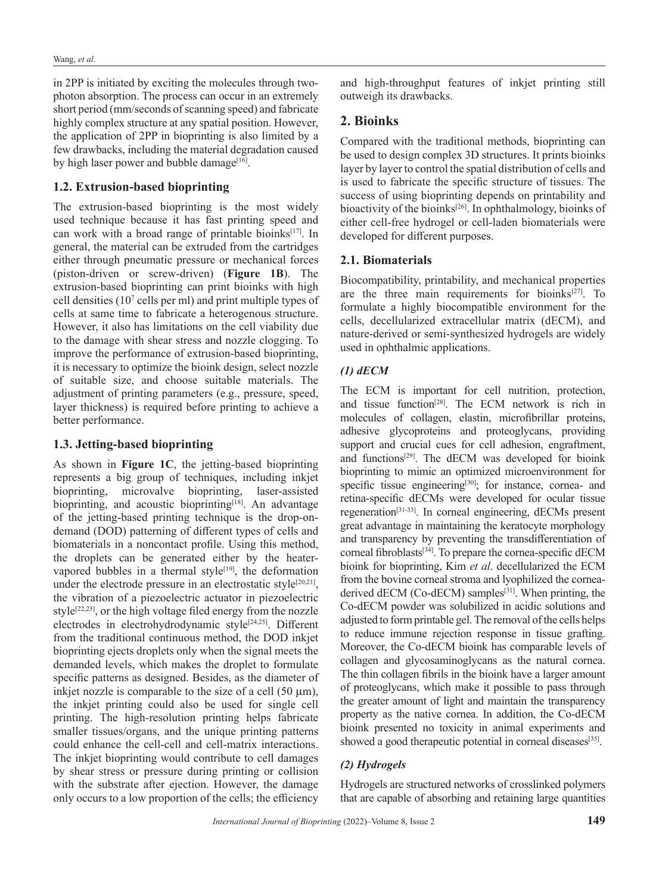in 2PP is initiated by exciting the molecules through twophoton absorption. The process can occur in an extremely short period (mm/seconds of scanning speed) and fabricate highly complex structure at any spatial position. However, the application of 2PP in bioprinting is also limited by a few drawbacks, including the material degradation caused by high laser power and bubble damage<sup>[16]</sup>.

## **1.2. Extrusion-based bioprinting**

The extrusion-based bioprinting is the most widely used technique because it has fast printing speed and can work with a broad range of printable bioinks<sup>[17]</sup>. In general, the material can be extruded from the cartridges either through pneumatic pressure or mechanical forces (piston-driven or screw-driven) (**Figure 1B**). The extrusion-based bioprinting can print bioinks with high cell densities (107 cells per ml) and print multiple types of cells at same time to fabricate a heterogenous structure. However, it also has limitations on the cell viability due to the damage with shear stress and nozzle clogging. To improve the performance of extrusion-based bioprinting, it is necessary to optimize the bioink design, select nozzle of suitable size, and choose suitable materials. The adjustment of printing parameters (e.g., pressure, speed, layer thickness) is required before printing to achieve a better performance.

#### **1.3. Jetting-based bioprinting**

As shown in **Figure 1C**, the jetting-based bioprinting represents a big group of techniques, including inkjet bioprinting, microvalve bioprinting, laser-assisted bioprinting, and acoustic bioprinting<sup>[18]</sup>. An advantage of the jetting-based printing technique is the drop-ondemand (DOD) patterning of different types of cells and biomaterials in a noncontact profile. Using this method, the droplets can be generated either by the heatervapored bubbles in a thermal style<sup>[19]</sup>, the deformation under the electrode pressure in an electrostatic style<sup>[20,21]</sup>, the vibration of a piezoelectric actuator in piezoelectric style $[22,23]$ , or the high voltage filed energy from the nozzle electrodes in electrohydrodynamic style<sup>[24,25]</sup>. Different from the traditional continuous method, the DOD inkjet bioprinting ejects droplets only when the signal meets the demanded levels, which makes the droplet to formulate specific patterns as designed. Besides, as the diameter of inkjet nozzle is comparable to the size of a cell  $(50 \mu m)$ , the inkjet printing could also be used for single cell printing. The high-resolution printing helps fabricate smaller tissues/organs, and the unique printing patterns could enhance the cell-cell and cell-matrix interactions. The inkjet bioprinting would contribute to cell damages by shear stress or pressure during printing or collision with the substrate after ejection. However, the damage only occurs to a low proportion of the cells; the efficiency

and high-throughput features of inkjet printing still outweigh its drawbacks.

## **2. Bioinks**

Compared with the traditional methods, bioprinting can be used to design complex 3D structures. It prints bioinks layer by layer to control the spatial distribution of cells and is used to fabricate the specific structure of tissues. The success of using bioprinting depends on printability and bioactivity of the bioinks<sup>[26]</sup>. In ophthalmology, bioinks of either cell-free hydrogel or cell-laden biomaterials were developed for different purposes.

#### **2.1. Biomaterials**

Biocompatibility, printability, and mechanical properties are the three main requirements for bioinks<sup>[27]</sup>. To formulate a highly biocompatible environment for the cells, decellularized extracellular matrix (dECM), and nature-derived or semi-synthesized hydrogels are widely used in ophthalmic applications.

## *(1) dECM*

The ECM is important for cell nutrition, protection, and tissue function[28]. The ECM network is rich in molecules of collagen, elastin, microfibrillar proteins, adhesive glycoproteins and proteoglycans, providing support and crucial cues for cell adhesion, engraftment, and functions<sup>[29]</sup>. The dECM was developed for bioink bioprinting to mimic an optimized microenvironment for specific tissue engineering<sup>[30]</sup>; for instance, cornea- and retina-specific dECMs were developed for ocular tissue regeneration[31-33]. In corneal engineering, dECMs present great advantage in maintaining the keratocyte morphology and transparency by preventing the transdifferentiation of corneal fibroblasts[34]. To prepare the cornea-specific dECM bioink for bioprinting, Kim *et al*. decellularized the ECM from the bovine corneal stroma and lyophilized the corneaderived  $dECM$  (Co-dECM) samples<sup>[31]</sup>. When printing, the Co-dECM powder was solubilized in acidic solutions and adjusted to form printable gel. The removal of the cells helps to reduce immune rejection response in tissue grafting. Moreover, the Co-dECM bioink has comparable levels of collagen and glycosaminoglycans as the natural cornea. The thin collagen fibrils in the bioink have a larger amount of proteoglycans, which make it possible to pass through the greater amount of light and maintain the transparency property as the native cornea. In addition, the Co-dECM bioink presented no toxicity in animal experiments and showed a good therapeutic potential in corneal diseases<sup>[35]</sup>.

#### *(2) Hydrogels*

Hydrogels are structured networks of crosslinked polymers that are capable of absorbing and retaining large quantities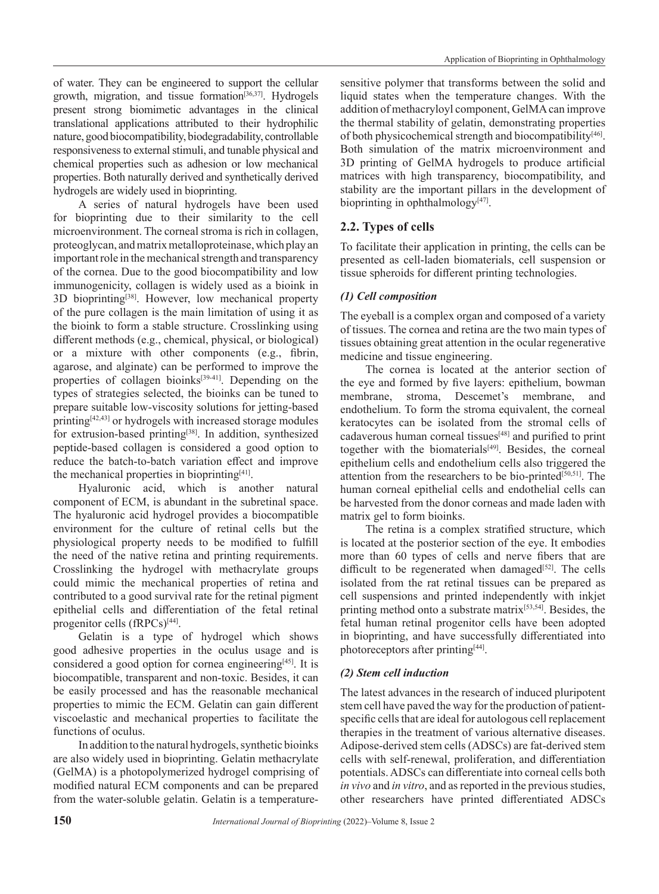of water. They can be engineered to support the cellular growth, migration, and tissue formation[36,37]. Hydrogels present strong biomimetic advantages in the clinical translational applications attributed to their hydrophilic nature, good biocompatibility, biodegradability, controllable responsiveness to external stimuli, and tunable physical and chemical properties such as adhesion or low mechanical properties. Both naturally derived and synthetically derived hydrogels are widely used in bioprinting.

A series of natural hydrogels have been used for bioprinting due to their similarity to the cell microenvironment. The corneal stroma is rich in collagen, proteoglycan, and matrix metalloproteinase, which play an important role in the mechanical strength and transparency of the cornea. Due to the good biocompatibility and low immunogenicity, collagen is widely used as a bioink in 3D bioprinting[38]. However, low mechanical property of the pure collagen is the main limitation of using it as the bioink to form a stable structure. Crosslinking using different methods (e.g., chemical, physical, or biological) or a mixture with other components (e.g., fibrin, agarose, and alginate) can be performed to improve the properties of collagen bioinks<sup>[39-41]</sup>. Depending on the types of strategies selected, the bioinks can be tuned to prepare suitable low-viscosity solutions for jetting-based printing[42,43] or hydrogels with increased storage modules for extrusion-based printing<sup>[38]</sup>. In addition, synthesized peptide-based collagen is considered a good option to reduce the batch-to-batch variation effect and improve the mechanical properties in bioprinting[41].

Hyaluronic acid, which is another natural component of ECM, is abundant in the subretinal space. The hyaluronic acid hydrogel provides a biocompatible environment for the culture of retinal cells but the physiological property needs to be modified to fulfill the need of the native retina and printing requirements. Crosslinking the hydrogel with methacrylate groups could mimic the mechanical properties of retina and contributed to a good survival rate for the retinal pigment epithelial cells and differentiation of the fetal retinal progenitor cells (fRPCs)<sup>[44]</sup>.

Gelatin is a type of hydrogel which shows good adhesive properties in the oculus usage and is considered a good option for cornea engineering<sup>[45]</sup>. It is biocompatible, transparent and non-toxic. Besides, it can be easily processed and has the reasonable mechanical properties to mimic the ECM. Gelatin can gain different viscoelastic and mechanical properties to facilitate the functions of oculus.

In addition to the natural hydrogels, synthetic bioinks are also widely used in bioprinting. Gelatin methacrylate (GelMA) is a photopolymerized hydrogel comprising of modified natural ECM components and can be prepared from the water-soluble gelatin. Gelatin is a temperaturesensitive polymer that transforms between the solid and liquid states when the temperature changes. With the addition of methacryloyl component, GelMA can improve the thermal stability of gelatin, demonstrating properties of both physicochemical strength and biocompatibility[46]. Both simulation of the matrix microenvironment and 3D printing of GelMA hydrogels to produce artificial matrices with high transparency, biocompatibility, and stability are the important pillars in the development of bioprinting in ophthalmology<sup>[47]</sup>.

# **2.2. Types of cells**

To facilitate their application in printing, the cells can be presented as cell-laden biomaterials, cell suspension or tissue spheroids for different printing technologies.

## *(1) Cell composition*

The eyeball is a complex organ and composed of a variety of tissues. The cornea and retina are the two main types of tissues obtaining great attention in the ocular regenerative medicine and tissue engineering.

The cornea is located at the anterior section of the eye and formed by five layers: epithelium, bowman membrane, stroma, Descemet's membrane, and endothelium. To form the stroma equivalent, the corneal keratocytes can be isolated from the stromal cells of cadaverous human corneal tissues<sup>[48]</sup> and purified to print together with the biomaterials $[49]$ . Besides, the corneal epithelium cells and endothelium cells also triggered the attention from the researchers to be bio-printed<sup>[50,51]</sup>. The human corneal epithelial cells and endothelial cells can be harvested from the donor corneas and made laden with matrix gel to form bioinks.

The retina is a complex stratified structure, which is located at the posterior section of the eye. It embodies more than 60 types of cells and nerve fibers that are difficult to be regenerated when damaged $[52]$ . The cells isolated from the rat retinal tissues can be prepared as cell suspensions and printed independently with inkjet printing method onto a substrate matrix<sup>[53,54]</sup>. Besides, the fetal human retinal progenitor cells have been adopted in bioprinting, and have successfully differentiated into photoreceptors after printing[44].

## *(2) Stem cell induction*

The latest advances in the research of induced pluripotent stem cell have paved the way for the production of patientspecific cells that are ideal for autologous cell replacement therapies in the treatment of various alternative diseases. Adipose-derived stem cells (ADSCs) are fat-derived stem cells with self-renewal, proliferation, and differentiation potentials. ADSCs can differentiate into corneal cells both *in vivo* and *in vitro*, and as reported in the previous studies, other researchers have printed differentiated ADSCs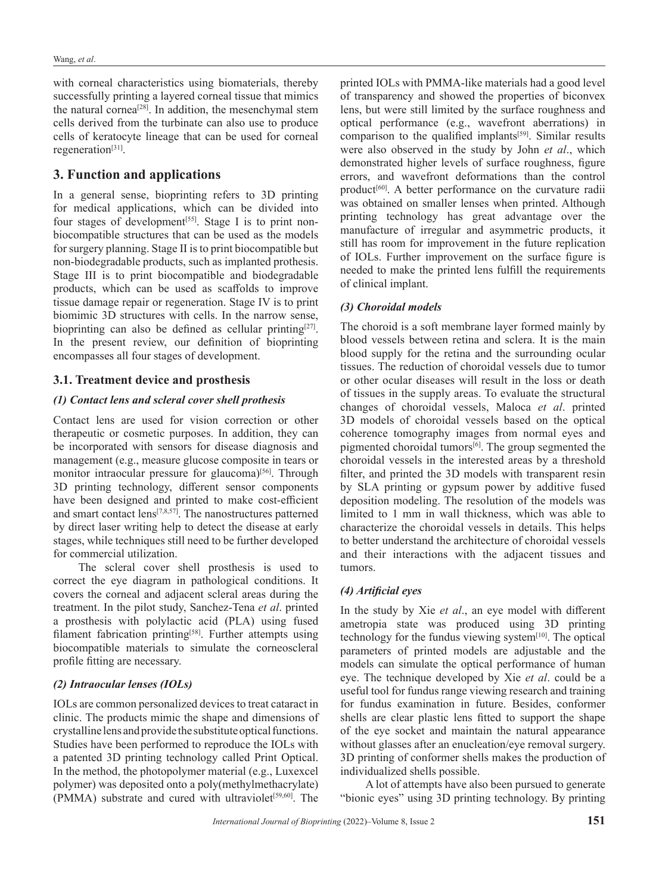with corneal characteristics using biomaterials, thereby successfully printing a layered corneal tissue that mimics the natural cornea[28]. In addition, the mesenchymal stem cells derived from the turbinate can also use to produce cells of keratocyte lineage that can be used for corneal regeneration<sup>[31]</sup>.

## **3. Function and applications**

In a general sense, bioprinting refers to 3D printing for medical applications, which can be divided into four stages of development<sup>[55]</sup>. Stage I is to print nonbiocompatible structures that can be used as the models for surgery planning. Stage II is to print biocompatible but non-biodegradable products, such as implanted prothesis. Stage III is to print biocompatible and biodegradable products, which can be used as scaffolds to improve tissue damage repair or regeneration. Stage IV is to print biomimic 3D structures with cells. In the narrow sense, bioprinting can also be defined as cellular printing $[27]$ . In the present review, our definition of bioprinting encompasses all four stages of development.

## **3.1. Treatment device and prosthesis**

#### *(1) Contact lens and scleral cover shell prothesis*

Contact lens are used for vision correction or other therapeutic or cosmetic purposes. In addition, they can be incorporated with sensors for disease diagnosis and management (e.g., measure glucose composite in tears or monitor intraocular pressure for glaucoma)<sup>[56]</sup>. Through 3D printing technology, different sensor components have been designed and printed to make cost-efficient and smart contact lens[7,8,57]. The nanostructures patterned by direct laser writing help to detect the disease at early stages, while techniques still need to be further developed for commercial utilization.

The scleral cover shell prosthesis is used to correct the eye diagram in pathological conditions. It covers the corneal and adjacent scleral areas during the treatment. In the pilot study, Sanchez-Tena *et al*. printed a prosthesis with polylactic acid (PLA) using fused filament fabrication printing<sup>[58]</sup>. Further attempts using biocompatible materials to simulate the corneoscleral profile fitting are necessary.

#### *(2) Intraocular lenses (IOLs)*

IOLs are common personalized devices to treat cataract in clinic. The products mimic the shape and dimensions of crystalline lens and provide the substitute optical functions. Studies have been performed to reproduce the IOLs with a patented 3D printing technology called Print Optical. In the method, the photopolymer material (e.g., Luxexcel polymer) was deposited onto a poly(methylmethacrylate) (PMMA) substrate and cured with ultraviolet<sup>[59,60]</sup>. The

printed IOLs with PMMA-like materials had a good level of transparency and showed the properties of biconvex lens, but were still limited by the surface roughness and optical performance (e.g., wavefront aberrations) in comparison to the qualified implants<sup>[59]</sup>. Similar results were also observed in the study by John *et al*., which demonstrated higher levels of surface roughness, figure errors, and wavefront deformations than the control product<sup>[60]</sup>. A better performance on the curvature radii was obtained on smaller lenses when printed. Although printing technology has great advantage over the manufacture of irregular and asymmetric products, it still has room for improvement in the future replication of IOLs. Further improvement on the surface figure is needed to make the printed lens fulfill the requirements of clinical implant.

## *(3) Choroidal models*

The choroid is a soft membrane layer formed mainly by blood vessels between retina and sclera. It is the main blood supply for the retina and the surrounding ocular tissues. The reduction of choroidal vessels due to tumor or other ocular diseases will result in the loss or death of tissues in the supply areas. To evaluate the structural changes of choroidal vessels, Maloca *et al*. printed 3D models of choroidal vessels based on the optical coherence tomography images from normal eyes and pigmented choroidal tumors<sup>[6]</sup>. The group segmented the choroidal vessels in the interested areas by a threshold filter, and printed the 3D models with transparent resin by SLA printing or gypsum power by additive fused deposition modeling. The resolution of the models was limited to 1 mm in wall thickness, which was able to characterize the choroidal vessels in details. This helps to better understand the architecture of choroidal vessels and their interactions with the adjacent tissues and tumors.

#### *(4) Artificial eyes*

In the study by Xie *et al*., an eye model with different ametropia state was produced using 3D printing technology for the fundus viewing system<sup>[10]</sup>. The optical parameters of printed models are adjustable and the models can simulate the optical performance of human eye. The technique developed by Xie *et al*. could be a useful tool for fundus range viewing research and training for fundus examination in future. Besides, conformer shells are clear plastic lens fitted to support the shape of the eye socket and maintain the natural appearance without glasses after an enucleation/eye removal surgery. 3D printing of conformer shells makes the production of individualized shells possible.

A lot of attempts have also been pursued to generate "bionic eyes" using 3D printing technology. By printing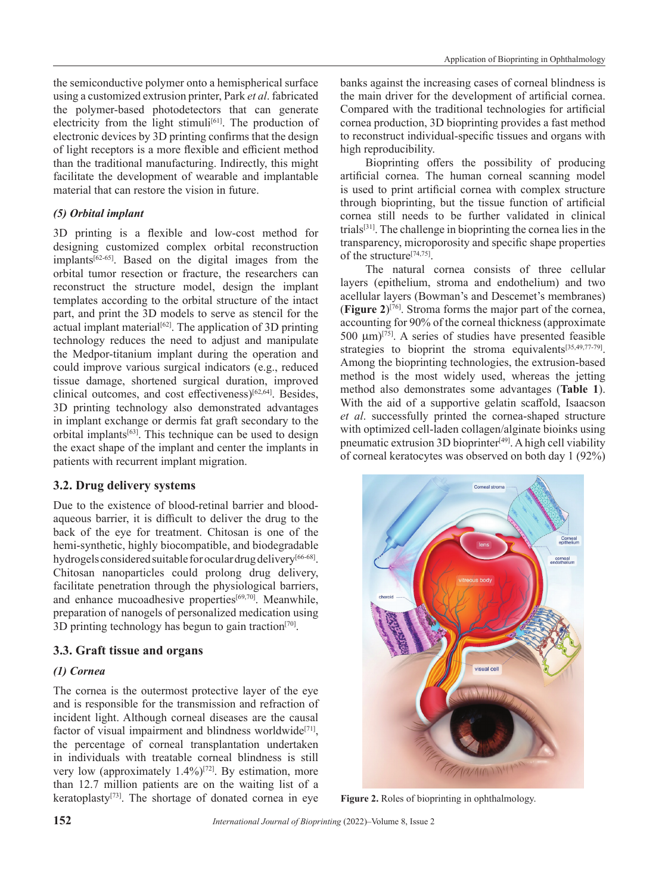the semiconductive polymer onto a hemispherical surface using a customized extrusion printer, Park *et al*. fabricated the polymer-based photodetectors that can generate electricity from the light stimuli<sup>[61]</sup>. The production of electronic devices by 3D printing confirms that the design of light receptors is a more flexible and efficient method than the traditional manufacturing. Indirectly, this might facilitate the development of wearable and implantable material that can restore the vision in future.

## *(5) Orbital implant*

3D printing is a flexible and low-cost method for designing customized complex orbital reconstruction  $implants^{[62-65]}$ . Based on the digital images from the orbital tumor resection or fracture, the researchers can reconstruct the structure model, design the implant templates according to the orbital structure of the intact part, and print the 3D models to serve as stencil for the actual implant material<sup>[62]</sup>. The application of 3D printing technology reduces the need to adjust and manipulate the Medpor-titanium implant during the operation and could improve various surgical indicators (e.g., reduced tissue damage, shortened surgical duration, improved clinical outcomes, and cost effectiveness)[62,64]. Besides, 3D printing technology also demonstrated advantages in implant exchange or dermis fat graft secondary to the orbital implants[63]. This technique can be used to design the exact shape of the implant and center the implants in patients with recurrent implant migration.

## **3.2. Drug delivery systems**

Due to the existence of blood-retinal barrier and bloodaqueous barrier, it is difficult to deliver the drug to the back of the eye for treatment. Chitosan is one of the hemi-synthetic, highly biocompatible, and biodegradable hydrogels considered suitable for ocular drug delivery<sup>[66-68]</sup>. Chitosan nanoparticles could prolong drug delivery, facilitate penetration through the physiological barriers, and enhance mucoadhesive properties<sup>[69,70]</sup>. Meanwhile, preparation of nanogels of personalized medication using 3D printing technology has begun to gain traction<sup>[70]</sup>.

## **3.3. Graft tissue and organs**

## *(1) Cornea*

The cornea is the outermost protective layer of the eye and is responsible for the transmission and refraction of incident light. Although corneal diseases are the causal factor of visual impairment and blindness worldwide<sup>[71]</sup>, the percentage of corneal transplantation undertaken in individuals with treatable corneal blindness is still very low (approximately  $1.4\%$ )<sup>[72]</sup>. By estimation, more than 12.7 million patients are on the waiting list of a keratoplasty[73]. The shortage of donated cornea in eye banks against the increasing cases of corneal blindness is the main driver for the development of artificial cornea. Compared with the traditional technologies for artificial cornea production, 3D bioprinting provides a fast method to reconstruct individual-specific tissues and organs with high reproducibility.

Bioprinting offers the possibility of producing artificial cornea. The human corneal scanning model is used to print artificial cornea with complex structure through bioprinting, but the tissue function of artificial cornea still needs to be further validated in clinical trials[31]. The challenge in bioprinting the cornea lies in the transparency, microporosity and specific shape properties of the structure[74,75].

The natural cornea consists of three cellular layers (epithelium, stroma and endothelium) and two acellular layers (Bowman's and Descemet's membranes) (**Figure 2**)[76]. Stroma forms the major part of the cornea, accounting for 90% of the corneal thickness (approximate 500 µm)[75]. A series of studies have presented feasible strategies to bioprint the stroma equivalents<sup>[35,49,77-79]</sup>. Among the bioprinting technologies, the extrusion-based method is the most widely used, whereas the jetting method also demonstrates some advantages (**Table 1**). With the aid of a supportive gelatin scaffold, Isaacson *et al*. successfully printed the cornea-shaped structure with optimized cell-laden collagen/alginate bioinks using pneumatic extrusion 3D bioprinter<sup>[49]</sup>. A high cell viability of corneal keratocytes was observed on both day 1 (92%)



**Figure 2.** Roles of bioprinting in ophthalmology.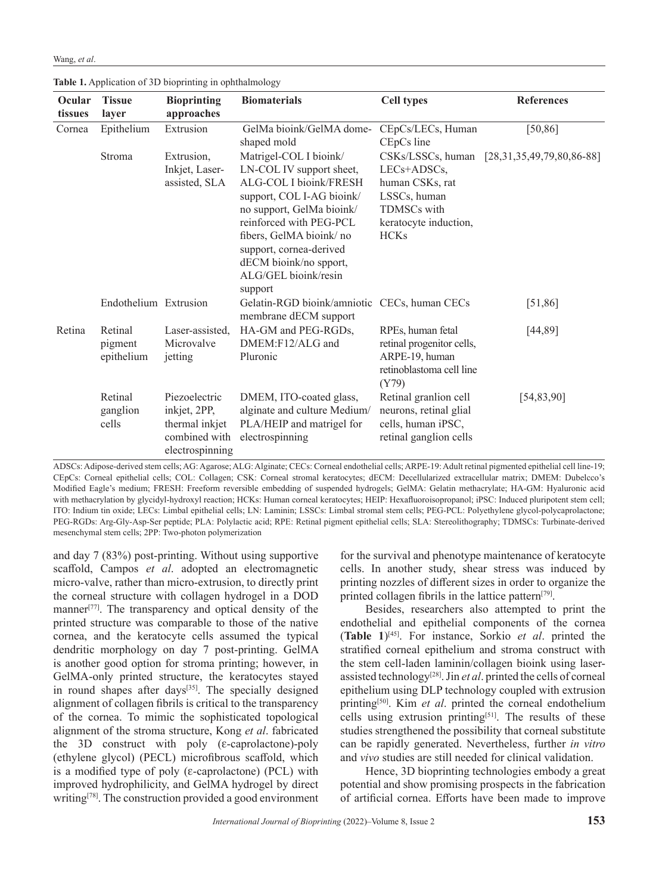| Wang, et al. |  |  |
|--------------|--|--|
|--------------|--|--|

| Ocular<br>tissues | <b>Tissue</b><br>layer           | <b>Bioprinting</b><br>approaches                                                    | <b>Biomaterials</b>                                                                                                                                                                                                                                                                  | <b>Cell types</b>                                                                                                               | <b>References</b>           |
|-------------------|----------------------------------|-------------------------------------------------------------------------------------|--------------------------------------------------------------------------------------------------------------------------------------------------------------------------------------------------------------------------------------------------------------------------------------|---------------------------------------------------------------------------------------------------------------------------------|-----------------------------|
| Cornea            | Epithelium                       | Extrusion                                                                           | GelMa bioink/GelMA dome-<br>shaped mold                                                                                                                                                                                                                                              | CEpCs/LECs, Human<br>CEpCs line                                                                                                 | [50, 86]                    |
|                   | Stroma                           | Extrusion,<br>Inkjet, Laser-<br>assisted, SLA                                       | Matrigel-COL I bioink/<br>LN-COL IV support sheet,<br>ALG-COL I bioink/FRESH<br>support, COL I-AG bioink/<br>no support, GelMa bioink/<br>reinforced with PEG-PCL<br>fibers, GelMA bioink/no<br>support, cornea-derived<br>dECM bioink/no spport,<br>ALG/GEL bioink/resin<br>support | CSKs/LSSCs, human<br>$LECs + ADSCs$ ,<br>human CSKs, rat<br>LSSCs, human<br>TDMSCs with<br>keratocyte induction,<br><b>HCKs</b> | $[28,31,35,49,79,80,86-88]$ |
|                   | Endothelium Extrusion            |                                                                                     | Gelatin-RGD bioink/amniotic CECs, human CECs<br>membrane dECM support                                                                                                                                                                                                                |                                                                                                                                 | [51,86]                     |
| Retina            | Retinal<br>pigment<br>epithelium | Laser-assisted,<br>Microvalve<br>jetting                                            | HA-GM and PEG-RGDs,<br>DMEM:F12/ALG and<br>Pluronic                                                                                                                                                                                                                                  | RPEs, human fetal<br>retinal progenitor cells,<br>ARPE-19, human<br>retinoblastoma cell line<br>(Y79)                           | [44, 89]                    |
|                   | Retinal<br>ganglion<br>cells     | Piezoelectric<br>inkjet, 2PP,<br>thermal inkjet<br>combined with<br>electrospinning | DMEM, ITO-coated glass,<br>alginate and culture Medium/<br>PLA/HEIP and matrigel for<br>electrospinning                                                                                                                                                                              | Retinal granlion cell<br>neurons, retinal glial<br>cells, human iPSC,<br>retinal ganglion cells                                 | [54, 83, 90]                |

**Table 1.** Application of 3D bioprinting in ophthalmology

ADSCs: Adipose-derived stem cells; AG: Agarose; ALG: Alginate; CECs: Corneal endothelial cells; ARPE-19: Adult retinal pigmented epithelial cell line-19; CEpCs: Corneal epithelial cells; COL: Collagen; CSK: Corneal stromal keratocytes; dECM: Decellularized extracellular matrix; DMEM: Dubelcco's Modified Eagle's medium; FRESH: Freeform reversible embedding of suspended hydrogels; GelMA: Gelatin methacrylate; HA-GM: Hyaluronic acid with methacrylation by glycidyl-hydroxyl reaction; HCKs: Human corneal keratocytes; HEIP: Hexafluoroisopropanol; iPSC: Induced pluripotent stem cell; ITO: Indium tin oxide; LECs: Limbal epithelial cells; LN: Laminin; LSSCs: Limbal stromal stem cells; PEG-PCL: Polyethylene glycol-polycaprolactone; PEG-RGDs: Arg-Gly-Asp-Ser peptide; PLA: Polylactic acid; RPE: Retinal pigment epithelial cells; SLA: Stereolithography; TDMSCs: Turbinate-derived mesenchymal stem cells; 2PP: Two-photon polymerization

and day 7 (83%) post-printing. Without using supportive scaffold, Campos *et al*. adopted an electromagnetic micro-valve, rather than micro-extrusion, to directly print the corneal structure with collagen hydrogel in a DOD manner<sup>[77]</sup>. The transparency and optical density of the printed structure was comparable to those of the native cornea, and the keratocyte cells assumed the typical dendritic morphology on day 7 post-printing. GelMA is another good option for stroma printing; however, in GelMA-only printed structure, the keratocytes stayed in round shapes after days<sup>[35]</sup>. The specially designed alignment of collagen fibrils is critical to the transparency of the cornea. To mimic the sophisticated topological alignment of the stroma structure, Kong *et al*. fabricated the 3D construct with poly (ε-caprolactone)-poly (ethylene glycol) (PECL) microfibrous scaffold, which is a modified type of poly (ε-caprolactone) (PCL) with improved hydrophilicity, and GelMA hydrogel by direct writing<sup>[78]</sup>. The construction provided a good environment

for the survival and phenotype maintenance of keratocyte cells. In another study, shear stress was induced by printing nozzles of different sizes in order to organize the printed collagen fibrils in the lattice pattern<sup>[79]</sup>.

Besides, researchers also attempted to print the endothelial and epithelial components of the cornea (**Table 1**)[45]. For instance, Sorkio *et al*. printed the stratified corneal epithelium and stroma construct with the stem cell-laden laminin/collagen bioink using laserassisted technology[28]. Jin *et al*. printed the cells of corneal epithelium using DLP technology coupled with extrusion printing[50]. Kim *et al*. printed the corneal endothelium cells using extrusion printing[51]. The results of these studies strengthened the possibility that corneal substitute can be rapidly generated. Nevertheless, further *in vitro* and *vivo* studies are still needed for clinical validation.

Hence, 3D bioprinting technologies embody a great potential and show promising prospects in the fabrication of artificial cornea. Efforts have been made to improve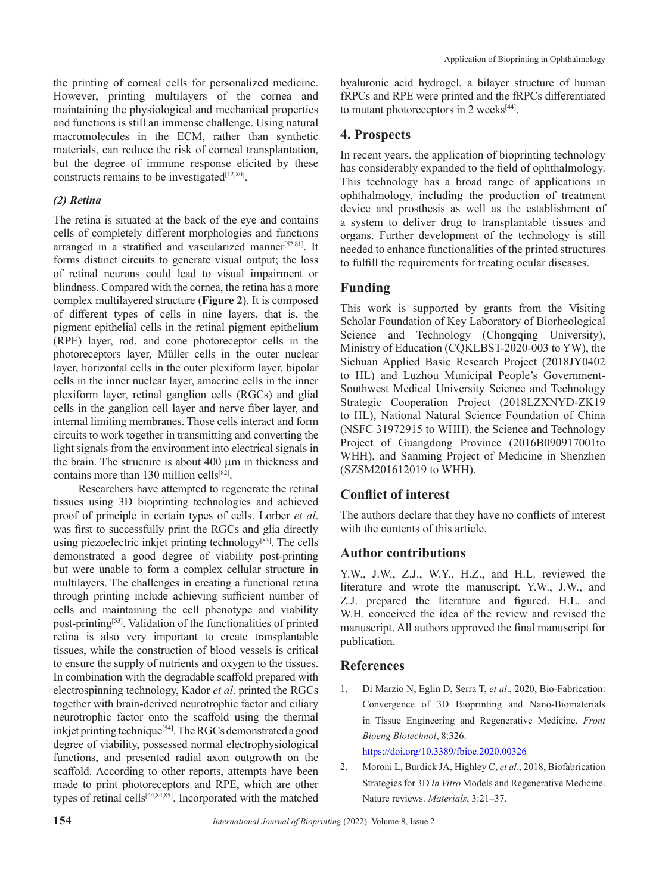the printing of corneal cells for personalized medicine. However, printing multilayers of the cornea and maintaining the physiological and mechanical properties and functions is still an immense challenge. Using natural macromolecules in the ECM, rather than synthetic materials, can reduce the risk of corneal transplantation, but the degree of immune response elicited by these constructs remains to be investigated<sup>[12,80]</sup>.

#### *(2) Retina*

The retina is situated at the back of the eye and contains cells of completely different morphologies and functions arranged in a stratified and vascularized manner<sup>[52,81]</sup>. It forms distinct circuits to generate visual output; the loss of retinal neurons could lead to visual impairment or blindness. Compared with the cornea, the retina has a more complex multilayered structure (**Figure 2**). It is composed of different types of cells in nine layers, that is, the pigment epithelial cells in the retinal pigment epithelium (RPE) layer, rod, and cone photoreceptor cells in the photoreceptors layer, Müller cells in the outer nuclear layer, horizontal cells in the outer plexiform layer, bipolar cells in the inner nuclear layer, amacrine cells in the inner plexiform layer, retinal ganglion cells (RGCs) and glial cells in the ganglion cell layer and nerve fiber layer, and internal limiting membranes. Those cells interact and form circuits to work together in transmitting and converting the light signals from the environment into electrical signals in the brain. The structure is about 400 μm in thickness and contains more than 130 million cells<sup>[82]</sup>.

Researchers have attempted to regenerate the retinal tissues using 3D bioprinting technologies and achieved proof of principle in certain types of cells. Lorber *et al*. was first to successfully print the RGCs and glia directly using piezoelectric inkjet printing technology<sup>[83]</sup>. The cells demonstrated a good degree of viability post-printing but were unable to form a complex cellular structure in multilayers. The challenges in creating a functional retina through printing include achieving sufficient number of cells and maintaining the cell phenotype and viability post-printing[53]. Validation of the functionalities of printed retina is also very important to create transplantable tissues, while the construction of blood vessels is critical to ensure the supply of nutrients and oxygen to the tissues. In combination with the degradable scaffold prepared with electrospinning technology, Kador *et al*. printed the RGCs together with brain-derived neurotrophic factor and ciliary neurotrophic factor onto the scaffold using the thermal inkjet printing technique<sup>[54]</sup>. The RGCs demonstrated a good degree of viability, possessed normal electrophysiological functions, and presented radial axon outgrowth on the scaffold. According to other reports, attempts have been made to print photoreceptors and RPE, which are other types of retinal cells[44,84,85]. Incorporated with the matched

hyaluronic acid hydrogel, a bilayer structure of human fRPCs and RPE were printed and the fRPCs differentiated to mutant photoreceptors in 2 weeks<sup>[44]</sup>.

## **4. Prospects**

In recent years, the application of bioprinting technology has considerably expanded to the field of ophthalmology. This technology has a broad range of applications in ophthalmology, including the production of treatment device and prosthesis as well as the establishment of a system to deliver drug to transplantable tissues and organs. Further development of the technology is still needed to enhance functionalities of the printed structures to fulfill the requirements for treating ocular diseases.

## **Funding**

This work is supported by grants from the Visiting Scholar Foundation of Key Laboratory of Biorheological Science and Technology (Chongqing University), Ministry of Education (CQKLBST-2020-003 to YW), the Sichuan Applied Basic Research Project (2018JY0402 to HL) and Luzhou Municipal People's Government-Southwest Medical University Science and Technology Strategic Cooperation Project (2018LZXNYD-ZK19 to HL), National Natural Science Foundation of China (NSFC 31972915 to WHH), the Science and Technology Project of Guangdong Province (2016B090917001to WHH), and Sanming Project of Medicine in Shenzhen (SZSM201612019 to WHH).

# **Conflict of interest**

The authors declare that they have no conflicts of interest with the contents of this article.

## **Author contributions**

Y.W., J.W., Z.J., W.Y., H.Z., and H.L. reviewed the literature and wrote the manuscript. Y.W., J.W., and Z.J. prepared the literature and figured. H.L. and W.H. conceived the idea of the review and revised the manuscript. All authors approved the final manuscript for publication.

## **References**

1. Di Marzio N, Eglin D, Serra T, *et al*., 2020, Bio-Fabrication: Convergence of 3D Bioprinting and Nano-Biomaterials in Tissue Engineering and Regenerative Medicine. *Front Bioeng Biotechnol*, 8:326.

https://doi.org/10.3389/fbioe.2020.00326

2. Moroni L, Burdick JA, Highley C, *et al*., 2018, Biofabrication Strategies for 3D *In Vitro* Models and Regenerative Medicine. Nature reviews. *Materials*, 3:21–37.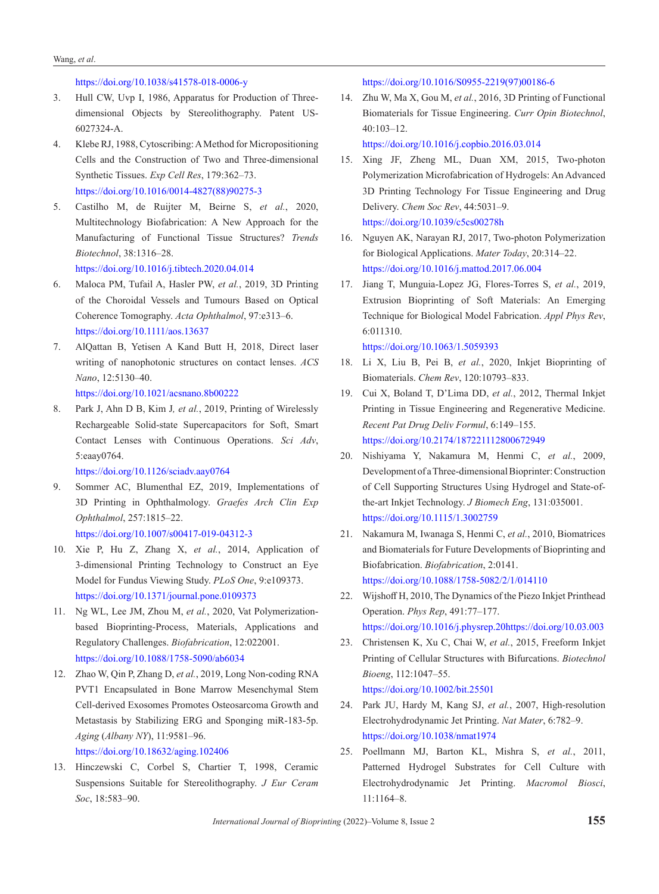#### Wang, *et al*.

https://doi.org/10.1038/s41578-018-0006-y

- 3. Hull CW, Uvp I, 1986, Apparatus for Production of Threedimensional Objects by Stereolithography. Patent US-6027324-A.
- 4. Klebe RJ, 1988, Cytoscribing: AMethod for Micropositioning Cells and the Construction of Two and Three-dimensional Synthetic Tissues. *Exp Cell Res*, 179:362–73. https://doi.org/10.1016/0014-4827(88)90275-3
- 5. Castilho M, de Ruijter M, Beirne S, *et al.*, 2020, Multitechnology Biofabrication: A New Approach for the Manufacturing of Functional Tissue Structures? *Trends Biotechnol*, 38:1316–28.

https://doi.org/10.1016/j.tibtech.2020.04.014

- 6. Maloca PM, Tufail A, Hasler PW, *et al.*, 2019, 3D Printing of the Choroidal Vessels and Tumours Based on Optical Coherence Tomography. *Acta Ophthalmol*, 97:e313–6. https://doi.org/10.1111/aos.13637
- 7. AlQattan B, Yetisen A Kand Butt H, 2018, Direct laser writing of nanophotonic structures on contact lenses. *ACS Nano*, 12:5130–40.

https://doi.org/10.1021/acsnano.8b00222

8. Park J, Ahn D B, Kim J*, et al.*, 2019, Printing of Wirelessly Rechargeable Solid-state Supercapacitors for Soft, Smart Contact Lenses with Continuous Operations. *Sci Adv*, 5:eaay0764.

https://doi.org/10.1126/sciadv.aay0764

9. Sommer AC, Blumenthal EZ, 2019, Implementations of 3D Printing in Ophthalmology. *Graefes Arch Clin Exp Ophthalmol*, 257:1815–22.

https://doi.org/10.1007/s00417-019-04312-3

- 10. Xie P, Hu Z, Zhang X, *et al.*, 2014, Application of 3-dimensional Printing Technology to Construct an Eye Model for Fundus Viewing Study. *PLoS One*, 9:e109373. https://doi.org/10.1371/journal.pone.0109373
- 11. Ng WL, Lee JM, Zhou M, *et al.*, 2020, Vat Polymerizationbased Bioprinting-Process, Materials, Applications and Regulatory Challenges. *Biofabrication*, 12:022001. https://doi.org/10.1088/1758-5090/ab6034
- 12. Zhao W, Qin P, Zhang D, *et al.*, 2019, Long Non-coding RNA PVT1 Encapsulated in Bone Marrow Mesenchymal Stem Cell-derived Exosomes Promotes Osteosarcoma Growth and Metastasis by Stabilizing ERG and Sponging miR-183-5p. *Aging* (*Albany NY*), 11:9581–96.

https://doi.org/10.18632/aging.102406

13. Hinczewski C, Corbel S, Chartier T, 1998, Ceramic Suspensions Suitable for Stereolithography. *J Eur Ceram Soc*, 18:583–90.

https://doi.org/10.1016/S0955-2219(97)00186-6

14. Zhu W, Ma X, Gou M, *et al.*, 2016, 3D Printing of Functional Biomaterials for Tissue Engineering. *Curr Opin Biotechnol*, 40:103–12.

https://doi.org/10.1016/j.copbio.2016.03.014

- 15. Xing JF, Zheng ML, Duan XM, 2015, Two-photon Polymerization Microfabrication of Hydrogels: An Advanced 3D Printing Technology For Tissue Engineering and Drug Delivery. *Chem Soc Rev*, 44:5031–9. https://doi.org/10.1039/c5cs00278h
- 16. Nguyen AK, Narayan RJ, 2017, Two-photon Polymerization for Biological Applications. *Mater Today*, 20:314–22. https://doi.org/10.1016/j.mattod.2017.06.004
- 17. Jiang T, Munguia-Lopez JG, Flores-Torres S, *et al.*, 2019, Extrusion Bioprinting of Soft Materials: An Emerging Technique for Biological Model Fabrication. *Appl Phys Rev*, 6:011310.

https://doi.org/10.1063/1.5059393

- 18. Li X, Liu B, Pei B, *et al.*, 2020, Inkjet Bioprinting of Biomaterials. *Chem Rev*, 120:10793–833.
- 19. Cui X, Boland T, D'Lima DD, *et al.*, 2012, Thermal Inkjet Printing in Tissue Engineering and Regenerative Medicine. *Recent Pat Drug Deliv Formul*, 6:149–155. https://doi.org/10.2174/187221112800672949
- 20. Nishiyama Y, Nakamura M, Henmi C, *et al.*, 2009, Development of a Three-dimensional Bioprinter: Construction of Cell Supporting Structures Using Hydrogel and State-ofthe-art Inkjet Technology. *J Biomech Eng*, 131:035001. https://doi.org/10.1115/1.3002759
- 21. Nakamura M, Iwanaga S, Henmi C, *et al.*, 2010, Biomatrices and Biomaterials for Future Developments of Bioprinting and Biofabrication. *Biofabrication*, 2:0141. https://doi.org/10.1088/1758-5082/2/1/014110
- 22. Wijshoff H, 2010, The Dynamics of the Piezo Inkjet Printhead Operation. *Phys Rep*, 491:77–177. https://doi.org/10.1016/j.physrep.20https://doi.org/10.03.003
- 23. Christensen K, Xu C, Chai W, *et al.*, 2015, Freeform Inkjet Printing of Cellular Structures with Bifurcations. *Biotechnol Bioeng*, 112:1047–55. https://doi.org/10.1002/bit.25501
- 24. Park JU, Hardy M, Kang SJ, *et al.*, 2007, High-resolution Electrohydrodynamic Jet Printing. *Nat Mater*, 6:782–9. https://doi.org/10.1038/nmat1974
- 25. Poellmann MJ, Barton KL, Mishra S, *et al.*, 2011, Patterned Hydrogel Substrates for Cell Culture with Electrohydrodynamic Jet Printing. *Macromol Biosci*, 11:1164–8.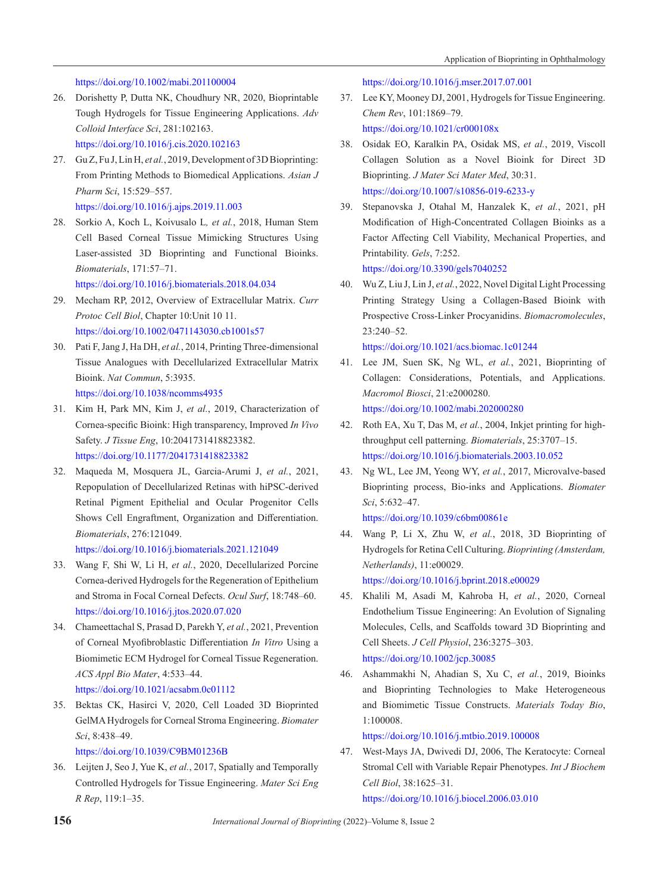#### https://doi.org/10.1002/mabi.201100004

- 26. Dorishetty P, Dutta NK, Choudhury NR, 2020, Bioprintable Tough Hydrogels for Tissue Engineering Applications. *Adv Colloid Interface Sci*, 281:102163. https://doi.org/10.1016/j.cis.2020.102163
- 27. Gu Z, Fu J, Lin H, *et al.*, 2019, Development of 3D Bioprinting: From Printing Methods to Biomedical Applications. *Asian J Pharm Sci*, 15:529–557. https://doi.org/10.1016/j.ajps.2019.11.003
- 28. Sorkio A, Koch L, Koivusalo L*, et al.*, 2018, Human Stem Cell Based Corneal Tissue Mimicking Structures Using Laser-assisted 3D Bioprinting and Functional Bioinks. *Biomaterials*, 171:57–71.

https://doi.org/10.1016/j.biomaterials.2018.04.034

- 29. Mecham RP, 2012, Overview of Extracellular Matrix. *Curr Protoc Cell Biol*, Chapter 10:Unit 10 11. https://doi.org/10.1002/0471143030.cb1001s57
- 30. Pati F, Jang J, Ha DH, *et al.*, 2014, Printing Three-dimensional Tissue Analogues with Decellularized Extracellular Matrix Bioink. *Nat Commun*, 5:3935. https://doi.org/10.1038/ncomms4935
- 31. Kim H, Park MN, Kim J, *et al.*, 2019, Characterization of Cornea-specific Bioink: High transparency, Improved *In Vivo* Safety. *J Tissue Eng*, 10:2041731418823382. https://doi.org/10.1177/2041731418823382

32. Maqueda M, Mosquera JL, Garcia-Arumi J, *et al.*, 2021, Repopulation of Decellularized Retinas with hiPSC-derived Retinal Pigment Epithelial and Ocular Progenitor Cells Shows Cell Engraftment, Organization and Differentiation. *Biomaterials*, 276:121049.

https://doi.org/10.1016/j.biomaterials.2021.121049

- 33. Wang F, Shi W, Li H, *et al.*, 2020, Decellularized Porcine Cornea-derived Hydrogels for the Regeneration of Epithelium and Stroma in Focal Corneal Defects. *Ocul Surf*, 18:748–60. https://doi.org/10.1016/j.jtos.2020.07.020
- 34. Chameettachal S, Prasad D, Parekh Y, *et al.*, 2021, Prevention of Corneal Myofibroblastic Differentiation *In Vitro* Using a Biomimetic ECM Hydrogel for Corneal Tissue Regeneration. *ACS Appl Bio Mater*, 4:533–44. https://doi.org/10.1021/acsabm.0c01112
- 35. Bektas CK, Hasirci V, 2020, Cell Loaded 3D Bioprinted GelMA Hydrogels for Corneal Stroma Engineering. *Biomater Sci*, 8:438–49.

https://doi.org/10.1039/C9BM01236B

36. Leijten J, Seo J, Yue K, *et al.*, 2017, Spatially and Temporally Controlled Hydrogels for Tissue Engineering. *Mater Sci Eng R Rep*, 119:1–35.

https://doi.org/10.1016/j.mser.2017.07.001

37. Lee KY, Mooney DJ, 2001, Hydrogels for Tissue Engineering. *Chem Rev*, 101:1869–79. https://doi.org/10.1021/cr000108x

38. Osidak EO, Karalkin PA, Osidak MS, *et al.*, 2019, Viscoll

- Collagen Solution as a Novel Bioink for Direct 3D Bioprinting. *J Mater Sci Mater Med*, 30:31. https://doi.org/10.1007/s10856-019-6233-y
- 39. Stepanovska J, Otahal M, Hanzalek K, *et al.*, 2021, pH Modification of High-Concentrated Collagen Bioinks as a Factor Affecting Cell Viability, Mechanical Properties, and Printability. *Gels*, 7:252.

https://doi.org/10.3390/gels7040252

40. Wu Z, Liu J, Lin J, *et al.*, 2022, Novel Digital Light Processing Printing Strategy Using a Collagen-Based Bioink with Prospective Cross-Linker Procyanidins. *Biomacromolecules*, 23:240–52.

https://doi.org/10.1021/acs.biomac.1c01244

- 41. Lee JM, Suen SK, Ng WL, *et al.*, 2021, Bioprinting of Collagen: Considerations, Potentials, and Applications. *Macromol Biosci*, 21:e2000280. https://doi.org/10.1002/mabi.202000280
- 42. Roth EA, Xu T, Das M, *et al.*, 2004, Inkjet printing for highthroughput cell patterning. *Biomaterials*, 25:3707–15. https://doi.org/10.1016/j.biomaterials.2003.10.052
- 43. Ng WL, Lee JM, Yeong WY, *et al.*, 2017, Microvalve-based Bioprinting process, Bio-inks and Applications. *Biomater Sci*, 5:632–47.

https://doi.org/10.1039/c6bm00861e

44. Wang P, Li X, Zhu W, *et al.*, 2018, 3D Bioprinting of Hydrogels for Retina Cell Culturing. *Bioprinting (Amsterdam, Netherlands)*, 11:e00029.

https://doi.org/10.1016/j.bprint.2018.e00029

- 45. Khalili M, Asadi M, Kahroba H, *et al.*, 2020, Corneal Endothelium Tissue Engineering: An Evolution of Signaling Molecules, Cells, and Scaffolds toward 3D Bioprinting and Cell Sheets. *J Cell Physiol*, 236:3275–303. https://doi.org/10.1002/jcp.30085
- 46. Ashammakhi N, Ahadian S, Xu C, *et al.*, 2019, Bioinks and Bioprinting Technologies to Make Heterogeneous and Biomimetic Tissue Constructs. *Materials Today Bio*, 1:100008.

https://doi.org/10.1016/j.mtbio.2019.100008

47. West-Mays JA, Dwivedi DJ, 2006, The Keratocyte: Corneal Stromal Cell with Variable Repair Phenotypes. *Int J Biochem Cell Biol*, 38:1625–31.

https://doi.org/10.1016/j.biocel.2006.03.010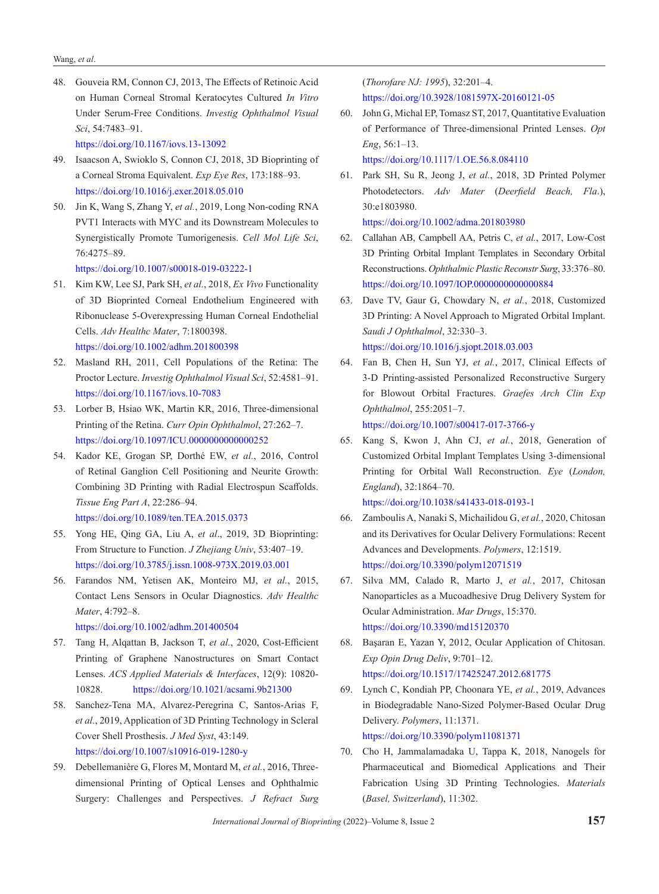48. Gouveia RM, Connon CJ, 2013, The Effects of Retinoic Acid on Human Corneal Stromal Keratocytes Cultured *In Vitro* Under Serum-Free Conditions. *Investig Ophthalmol Visual Sci*, 54:7483–91.

https://doi.org/10.1167/iovs.13-13092

- 49. Isaacson A, Swioklo S, Connon CJ, 2018, 3D Bioprinting of a Corneal Stroma Equivalent. *Exp Eye Res*, 173:188–93. https://doi.org/10.1016/j.exer.2018.05.010
- 50. Jin K, Wang S, Zhang Y, *et al.*, 2019, Long Non-coding RNA PVT1 Interacts with MYC and its Downstream Molecules to Synergistically Promote Tumorigenesis. *Cell Mol Life Sci*, 76:4275–89.

https://doi.org/10.1007/s00018-019-03222-1

- 51. Kim KW, Lee SJ, Park SH, *et al.*, 2018, *Ex Vivo* Functionality of 3D Bioprinted Corneal Endothelium Engineered with Ribonuclease 5-Overexpressing Human Corneal Endothelial Cells. *Adv Healthc Mater*, 7:1800398. https://doi.org/10.1002/adhm.201800398
- 52. Masland RH, 2011, Cell Populations of the Retina: The Proctor Lecture. *Investig Ophthalmol Visual Sci*, 52:4581–91. https://doi.org/10.1167/iovs.10-7083
- 53. Lorber B, Hsiao WK, Martin KR, 2016, Three-dimensional Printing of the Retina. *Curr Opin Ophthalmol*, 27:262–7. https://doi.org/10.1097/ICU.0000000000000252
- 54. Kador KE, Grogan SP, Dorthé EW, *et al.*, 2016, Control of Retinal Ganglion Cell Positioning and Neurite Growth: Combining 3D Printing with Radial Electrospun Scaffolds. *Tissue Eng Part A*, 22:286–94. https://doi.org/10.1089/ten.TEA.2015.0373
- 55. Yong HE, Qing GA, Liu A, *et al*., 2019, 3D Bioprinting: From Structure to Function. *J Zhejiang Univ*, 53:407–19. https://doi.org/10.3785/j.issn.1008-973X.2019.03.001
- 56. Farandos NM, Yetisen AK, Monteiro MJ, *et al.*, 2015, Contact Lens Sensors in Ocular Diagnostics. *Adv Healthc Mater*, 4:792–8.

https://doi.org/10.1002/adhm.201400504

- 57. Tang H, Alqattan B, Jackson T, *et al.*, 2020, Cost-Efficient Printing of Graphene Nanostructures on Smart Contact Lenses. *ACS Applied Materials & Interfaces*, 12(9): 10820- 10828. https://doi.org/10.1021/acsami.9b21300
- 58. Sanchez-Tena MA, Alvarez-Peregrina C, Santos-Arias F, *et al.*, 2019, Application of 3D Printing Technology in Scleral Cover Shell Prosthesis. *J Med Syst*, 43:149. https://doi.org/10.1007/s10916-019-1280-y
- 59. Debellemanière G, Flores M, Montard M, *et al.*, 2016, Threedimensional Printing of Optical Lenses and Ophthalmic Surgery: Challenges and Perspectives. *J Refract Surg*

(*Thorofare NJ: 1995*), 32:201–4. https://doi.org/10.3928/1081597X-20160121-05

- 60. John G, Michal EP, Tomasz ST, 2017, Quantitative Evaluation of Performance of Three-dimensional Printed Lenses. *Opt Eng*, 56:1–13. https://doi.org/10.1117/1.OE.56.8.084110
- 61. Park SH, Su R, Jeong J, *et al.*, 2018, 3D Printed Polymer Photodetectors. *Adv Mater* (*Deerfield Beach, Fla*.), 30:e1803980.

```
https://doi.org/10.1002/adma.201803980
```
- 62. Callahan AB, Campbell AA, Petris C, *et al.*, 2017, Low-Cost 3D Printing Orbital Implant Templates in Secondary Orbital Reconstructions. *Ophthalmic Plastic Reconstr Surg*, 33:376–80. https://doi.org/10.1097/IOP.0000000000000884
- 63. Dave TV, Gaur G, Chowdary N, *et al.*, 2018, Customized 3D Printing: A Novel Approach to Migrated Orbital Implant. *Saudi J Ophthalmol*, 32:330–3. https://doi.org/10.1016/j.sjopt.2018.03.003
- 64. Fan B, Chen H, Sun YJ, *et al.*, 2017, Clinical Effects of 3-D Printing-assisted Personalized Reconstructive Surgery for Blowout Orbital Fractures. *Graefes Arch Clin Exp Ophthalmol*, 255:2051–7.

https://doi.org/10.1007/s00417-017-3766-y

65. Kang S, Kwon J, Ahn CJ, *et al.*, 2018, Generation of Customized Orbital Implant Templates Using 3-dimensional Printing for Orbital Wall Reconstruction. *Eye* (*London, England*), 32:1864–70.

https://doi.org/10.1038/s41433-018-0193-1

- 66. Zamboulis A, Nanaki S, Michailidou G, *et al.*, 2020, Chitosan and its Derivatives for Ocular Delivery Formulations: Recent Advances and Developments. *Polymers*, 12:1519. https://doi.org/10.3390/polym12071519
- 67. Silva MM, Calado R, Marto J, *et al.*, 2017, Chitosan Nanoparticles as a Mucoadhesive Drug Delivery System for Ocular Administration. *Mar Drugs*, 15:370. https://doi.org/10.3390/md15120370
- 68. Başaran E, Yazan Y, 2012, Ocular Application of Chitosan. *Exp Opin Drug Deliv*, 9:701–12. https://doi.org/10.1517/17425247.2012.681775
- 69. Lynch C, Kondiah PP, Choonara YE, *et al.*, 2019, Advances in Biodegradable Nano-Sized Polymer-Based Ocular Drug Delivery. *Polymers*, 11:1371. https://doi.org/10.3390/polym11081371
- 70. Cho H, Jammalamadaka U, Tappa K, 2018, Nanogels for Pharmaceutical and Biomedical Applications and Their Fabrication Using 3D Printing Technologies. *Materials*  (*Basel, Switzerland*), 11:302.